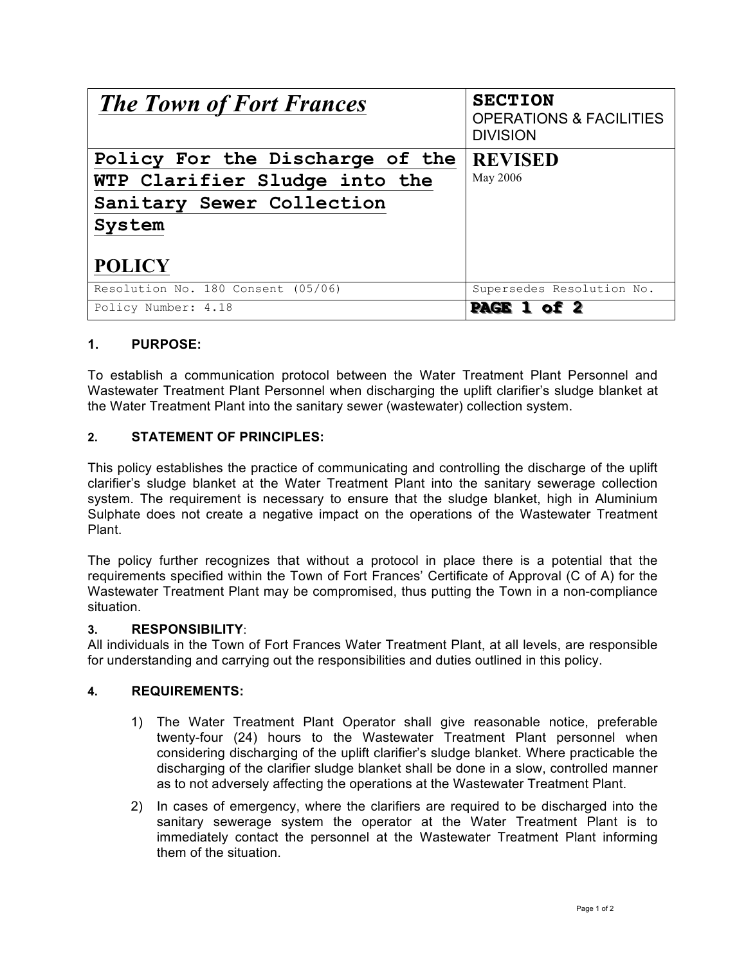| <b>The Town of Fort Frances</b>    | <b>SECTION</b><br><b>OPERATIONS &amp; FACILITIES</b><br><b>DIVISION</b> |
|------------------------------------|-------------------------------------------------------------------------|
| Policy For the Discharge of the    | <b>REVISED</b>                                                          |
| WTP Clarifier Sludge into the      | May 2006                                                                |
| Sanitary Sewer Collection          |                                                                         |
| System                             |                                                                         |
|                                    |                                                                         |
| <b>POLICY</b>                      |                                                                         |
| Resolution No. 180 Consent (05/06) | Supersedes Resolution No.                                               |
| Policy Number: 4.18                | <b>PAGE 1 0</b>                                                         |

## **1. PURPOSE:**

To establish a communication protocol between the Water Treatment Plant Personnel and Wastewater Treatment Plant Personnel when discharging the uplift clarifier's sludge blanket at the Water Treatment Plant into the sanitary sewer (wastewater) collection system.

## **2. STATEMENT OF PRINCIPLES:**

This policy establishes the practice of communicating and controlling the discharge of the uplift clarifier's sludge blanket at the Water Treatment Plant into the sanitary sewerage collection system. The requirement is necessary to ensure that the sludge blanket, high in Aluminium Sulphate does not create a negative impact on the operations of the Wastewater Treatment Plant.

The policy further recognizes that without a protocol in place there is a potential that the requirements specified within the Town of Fort Frances' Certificate of Approval (C of A) for the Wastewater Treatment Plant may be compromised, thus putting the Town in a non-compliance situation.

## **3. RESPONSIBILITY**:

All individuals in the Town of Fort Frances Water Treatment Plant, at all levels, are responsible for understanding and carrying out the responsibilities and duties outlined in this policy.

## **4. REQUIREMENTS:**

- 1) The Water Treatment Plant Operator shall give reasonable notice, preferable twenty-four (24) hours to the Wastewater Treatment Plant personnel when considering discharging of the uplift clarifier's sludge blanket. Where practicable the discharging of the clarifier sludge blanket shall be done in a slow, controlled manner as to not adversely affecting the operations at the Wastewater Treatment Plant.
- 2) In cases of emergency, where the clarifiers are required to be discharged into the sanitary sewerage system the operator at the Water Treatment Plant is to immediately contact the personnel at the Wastewater Treatment Plant informing them of the situation.